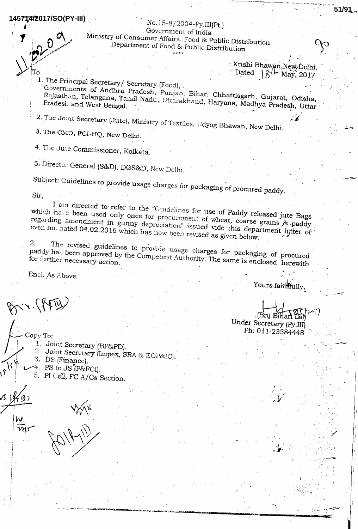To

No.15-8/2004-Py.III(Pt.) Government of India

Ministry of Consumer Affairs, Food & Public Distribution Department of Food & Public Distribution

> Krishi Bhawan, New Delhi. Dated 18th May, 2017

1. The Principal Secretary/ Secretary (Food), Governments of Andhra Pradesh, Punjab, Bihar, Chhattisgarh, Gujarat, Odisha, Rajasthan, Telangana, Tamil Nadu, Uttarakhand, Haryana, Madhya Pradesh, Uttar Pradesh and West Bengal.

2. The Joint Secretary (Jute), Ministry of Textiles, Udyog Bhawan, New Delhi.

3. The CMD, FCI-HQ, New Delhi.

4. The Jute Commissioner, Kolkata.

5. Directo: General (S&D), DGS&D, New Delhi.

Subject: Guidelines to provide usage charges for packaging of procured paddy.

Sir

I am directed to refer to the "Guidelines for use of Paddy released jute Bags which have been used only once for procurement of wheat, coarse grains, & paddy regarding amendment in gunny depreciation" issued vide this department letter of even no. dated 04.02.2016 which has now been revised as given below.

The revised guidelines to provide usage charges for packaging of procured  $\overline{2}$ . paddy has been approved by the Competent Authority. The same is enclosed herewith

Encl: As Above.

Yours faithfully,

 $(BriBiBa)$ Under Secretary (Py.III) Ph: 011-23384448

 $Copy$   $To:$ 

- 1. Joint Secretary (BP&PD).
- 2. Joint Secretary (Impex, SRA & EOP&IC).
- 3. DS (Finance).
- 4. PS to  $JS^*$ (P&FCI).
- 5. PI Cell, FC A/Cs Section.